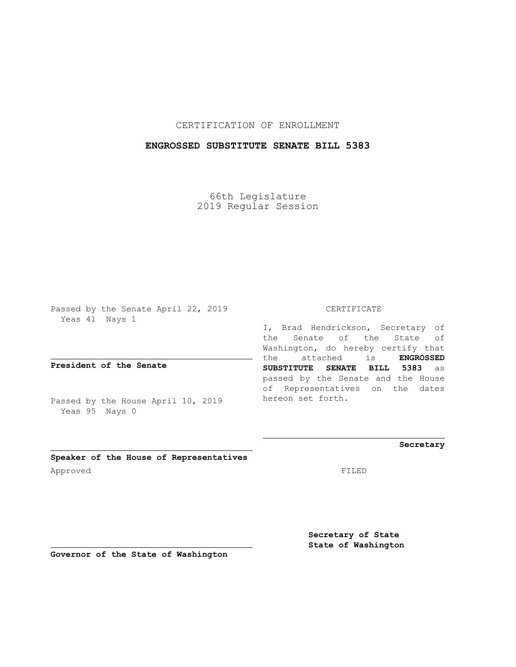CERTIFICATION OF ENROLLMENT

## **ENGROSSED SUBSTITUTE SENATE BILL 5383**

66th Legislature 2019 Regular Session

Passed by the Senate April 22, 2019 Yeas 41 Nays 1

**President of the Senate**

Passed by the House April 10, 2019 Yeas 95 Nays 0

CERTIFICATE

I, Brad Hendrickson, Secretary of the Senate of the State of Washington, do hereby certify that the attached is **ENGROSSED SUBSTITUTE SENATE BILL 5383** as passed by the Senate and the House of Representatives on the dates hereon set forth.

**Secretary**

**Speaker of the House of Representatives** Approved FILED

**Secretary of State State of Washington**

**Governor of the State of Washington**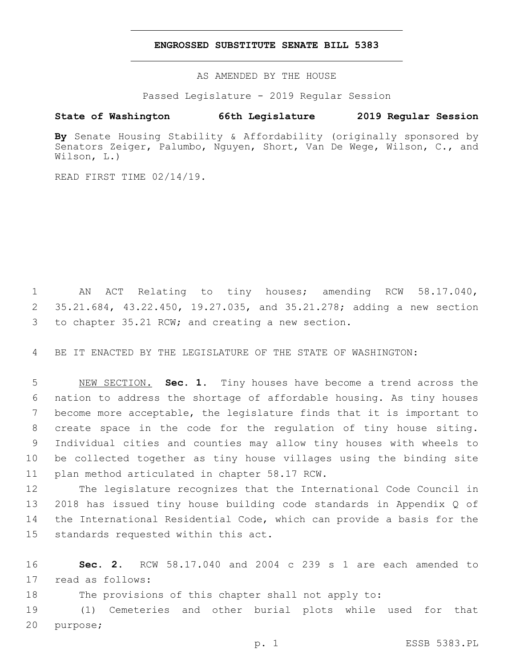## **ENGROSSED SUBSTITUTE SENATE BILL 5383**

AS AMENDED BY THE HOUSE

Passed Legislature - 2019 Regular Session

## **State of Washington 66th Legislature 2019 Regular Session**

**By** Senate Housing Stability & Affordability (originally sponsored by Senators Zeiger, Palumbo, Nguyen, Short, Van De Wege, Wilson, C., and Wilson, L.)

READ FIRST TIME 02/14/19.

1 AN ACT Relating to tiny houses; amending RCW 58.17.040, 2 35.21.684, 43.22.450, 19.27.035, and 35.21.278; adding a new section 3 to chapter 35.21 RCW; and creating a new section.

4 BE IT ENACTED BY THE LEGISLATURE OF THE STATE OF WASHINGTON:

 NEW SECTION. **Sec. 1.** Tiny houses have become a trend across the nation to address the shortage of affordable housing. As tiny houses become more acceptable, the legislature finds that it is important to create space in the code for the regulation of tiny house siting. Individual cities and counties may allow tiny houses with wheels to be collected together as tiny house villages using the binding site plan method articulated in chapter 58.17 RCW.

 The legislature recognizes that the International Code Council in 2018 has issued tiny house building code standards in Appendix Q of the International Residential Code, which can provide a basis for the 15 standards requested within this act.

16 **Sec. 2.** RCW 58.17.040 and 2004 c 239 s 1 are each amended to 17 read as follows:

18 The provisions of this chapter shall not apply to:

19 (1) Cemeteries and other burial plots while used for that 20 purpose;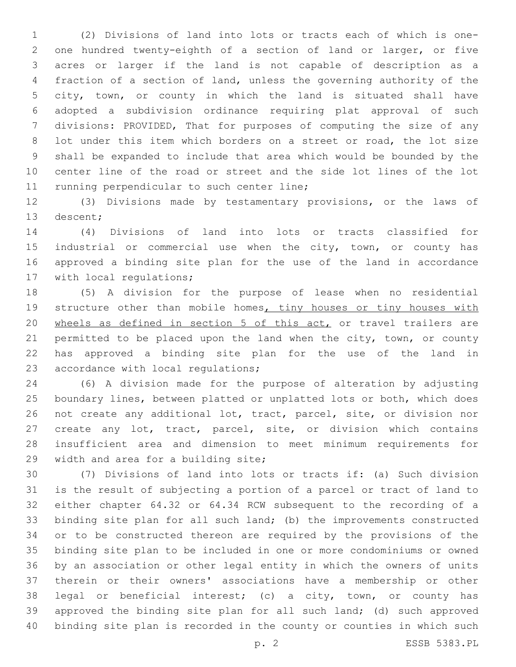(2) Divisions of land into lots or tracts each of which is one- one hundred twenty-eighth of a section of land or larger, or five acres or larger if the land is not capable of description as a fraction of a section of land, unless the governing authority of the city, town, or county in which the land is situated shall have adopted a subdivision ordinance requiring plat approval of such divisions: PROVIDED, That for purposes of computing the size of any 8 lot under this item which borders on a street or road, the lot size shall be expanded to include that area which would be bounded by the center line of the road or street and the side lot lines of the lot 11 running perpendicular to such center line;

 (3) Divisions made by testamentary provisions, or the laws of 13 descent;

 (4) Divisions of land into lots or tracts classified for 15 industrial or commercial use when the city, town, or county has approved a binding site plan for the use of the land in accordance 17 with local regulations;

 (5) A division for the purpose of lease when no residential 19 structure other than mobile homes, tiny houses or tiny houses with 20 wheels as defined in section 5 of this act, or travel trailers are 21 permitted to be placed upon the land when the city, town, or county has approved a binding site plan for the use of the land in 23 accordance with local regulations;

 (6) A division made for the purpose of alteration by adjusting boundary lines, between platted or unplatted lots or both, which does not create any additional lot, tract, parcel, site, or division nor create any lot, tract, parcel, site, or division which contains insufficient area and dimension to meet minimum requirements for 29 width and area for a building site;

 (7) Divisions of land into lots or tracts if: (a) Such division is the result of subjecting a portion of a parcel or tract of land to either chapter 64.32 or 64.34 RCW subsequent to the recording of a binding site plan for all such land; (b) the improvements constructed or to be constructed thereon are required by the provisions of the binding site plan to be included in one or more condominiums or owned by an association or other legal entity in which the owners of units therein or their owners' associations have a membership or other legal or beneficial interest; (c) a city, town, or county has approved the binding site plan for all such land; (d) such approved binding site plan is recorded in the county or counties in which such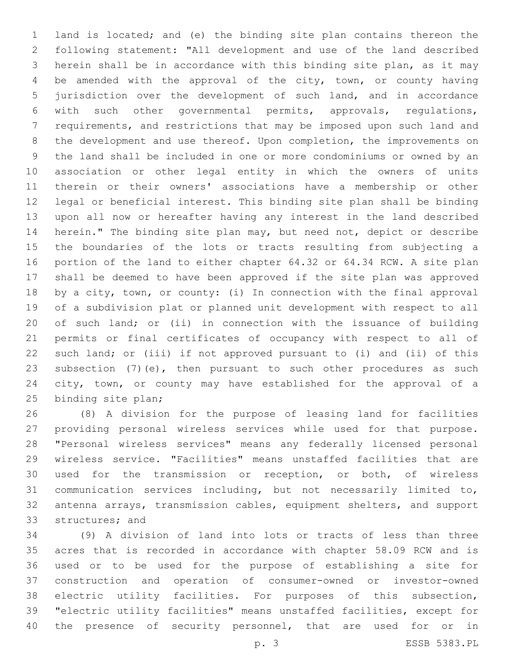land is located; and (e) the binding site plan contains thereon the following statement: "All development and use of the land described herein shall be in accordance with this binding site plan, as it may be amended with the approval of the city, town, or county having jurisdiction over the development of such land, and in accordance with such other governmental permits, approvals, regulations, requirements, and restrictions that may be imposed upon such land and the development and use thereof. Upon completion, the improvements on the land shall be included in one or more condominiums or owned by an association or other legal entity in which the owners of units therein or their owners' associations have a membership or other legal or beneficial interest. This binding site plan shall be binding upon all now or hereafter having any interest in the land described herein." The binding site plan may, but need not, depict or describe the boundaries of the lots or tracts resulting from subjecting a portion of the land to either chapter 64.32 or 64.34 RCW. A site plan shall be deemed to have been approved if the site plan was approved by a city, town, or county: (i) In connection with the final approval of a subdivision plat or planned unit development with respect to all of such land; or (ii) in connection with the issuance of building permits or final certificates of occupancy with respect to all of such land; or (iii) if not approved pursuant to (i) and (ii) of this 23 subsection (7) (e), then pursuant to such other procedures as such city, town, or county may have established for the approval of a 25 binding site plan;

 (8) A division for the purpose of leasing land for facilities providing personal wireless services while used for that purpose. "Personal wireless services" means any federally licensed personal wireless service. "Facilities" means unstaffed facilities that are used for the transmission or reception, or both, of wireless communication services including, but not necessarily limited to, antenna arrays, transmission cables, equipment shelters, and support 33 structures; and

 (9) A division of land into lots or tracts of less than three acres that is recorded in accordance with chapter 58.09 RCW and is used or to be used for the purpose of establishing a site for construction and operation of consumer-owned or investor-owned electric utility facilities. For purposes of this subsection, "electric utility facilities" means unstaffed facilities, except for the presence of security personnel, that are used for or in

p. 3 ESSB 5383.PL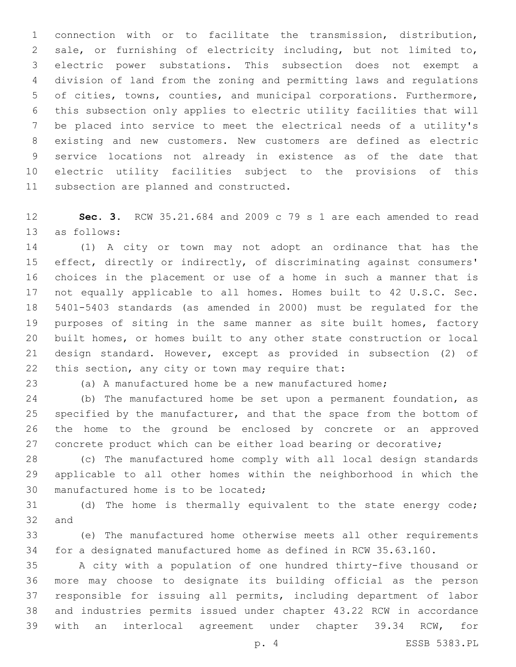connection with or to facilitate the transmission, distribution, sale, or furnishing of electricity including, but not limited to, electric power substations. This subsection does not exempt a division of land from the zoning and permitting laws and regulations of cities, towns, counties, and municipal corporations. Furthermore, this subsection only applies to electric utility facilities that will be placed into service to meet the electrical needs of a utility's existing and new customers. New customers are defined as electric service locations not already in existence as of the date that electric utility facilities subject to the provisions of this 11 subsection are planned and constructed.

 **Sec. 3.** RCW 35.21.684 and 2009 c 79 s 1 are each amended to read 13 as follows:

 (1) A city or town may not adopt an ordinance that has the effect, directly or indirectly, of discriminating against consumers' choices in the placement or use of a home in such a manner that is not equally applicable to all homes. Homes built to 42 U.S.C. Sec. 5401-5403 standards (as amended in 2000) must be regulated for the purposes of siting in the same manner as site built homes, factory built homes, or homes built to any other state construction or local design standard. However, except as provided in subsection (2) of 22 this section, any city or town may require that:

(a) A manufactured home be a new manufactured home;

 (b) The manufactured home be set upon a permanent foundation, as specified by the manufacturer, and that the space from the bottom of the home to the ground be enclosed by concrete or an approved 27 concrete product which can be either load bearing or decorative;

 (c) The manufactured home comply with all local design standards applicable to all other homes within the neighborhood in which the 30 manufactured home is to be located;

 (d) The home is thermally equivalent to the state energy code; 32 and

 (e) The manufactured home otherwise meets all other requirements for a designated manufactured home as defined in RCW 35.63.160.

 A city with a population of one hundred thirty-five thousand or more may choose to designate its building official as the person responsible for issuing all permits, including department of labor and industries permits issued under chapter 43.22 RCW in accordance with an interlocal agreement under chapter 39.34 RCW, for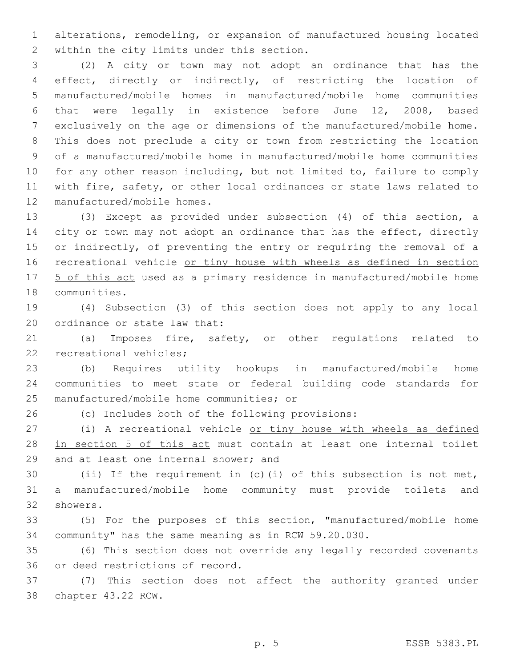alterations, remodeling, or expansion of manufactured housing located 2 within the city limits under this section.

 (2) A city or town may not adopt an ordinance that has the effect, directly or indirectly, of restricting the location of manufactured/mobile homes in manufactured/mobile home communities that were legally in existence before June 12, 2008, based exclusively on the age or dimensions of the manufactured/mobile home. This does not preclude a city or town from restricting the location of a manufactured/mobile home in manufactured/mobile home communities for any other reason including, but not limited to, failure to comply with fire, safety, or other local ordinances or state laws related to 12 manufactured/mobile homes.

 (3) Except as provided under subsection (4) of this section, a 14 city or town may not adopt an ordinance that has the effect, directly or indirectly, of preventing the entry or requiring the removal of a 16 recreational vehicle or tiny house with wheels as defined in section 17 5 of this act used as a primary residence in manufactured/mobile home 18 communities.

 (4) Subsection (3) of this section does not apply to any local 20 ordinance or state law that:

 (a) Imposes fire, safety, or other regulations related to 22 recreational vehicles;

 (b) Requires utility hookups in manufactured/mobile home communities to meet state or federal building code standards for 25 manufactured/mobile home communities; or

(c) Includes both of the following provisions:

 (i) A recreational vehicle or tiny house with wheels as defined 28 in section 5 of this act must contain at least one internal toilet 29 and at least one internal shower; and

 (ii) If the requirement in (c)(i) of this subsection is not met, a manufactured/mobile home community must provide toilets and 32 showers.

 (5) For the purposes of this section, "manufactured/mobile home community" has the same meaning as in RCW 59.20.030.

 (6) This section does not override any legally recorded covenants 36 or deed restrictions of record.

 (7) This section does not affect the authority granted under 38 chapter 43.22 RCW.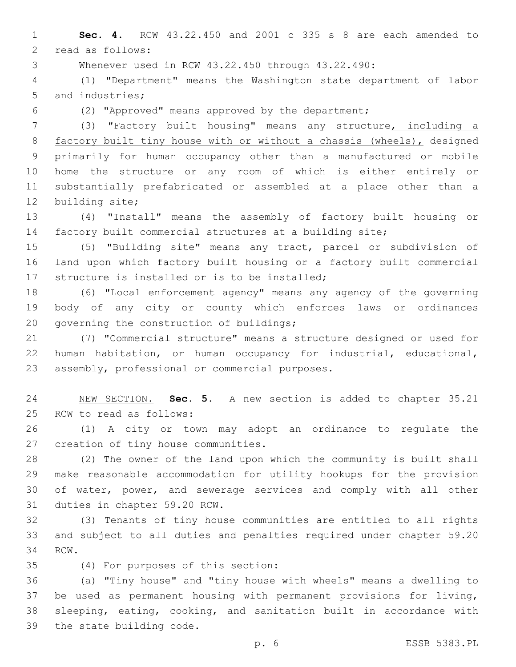**Sec. 4.** RCW 43.22.450 and 2001 c 335 s 8 are each amended to 2 read as follows:

Whenever used in RCW 43.22.450 through 43.22.490:

 (1) "Department" means the Washington state department of labor 5 and industries;

(2) "Approved" means approved by the department;

 (3) "Factory built housing" means any structure, including a factory built tiny house with or without a chassis (wheels), designed primarily for human occupancy other than a manufactured or mobile home the structure or any room of which is either entirely or substantially prefabricated or assembled at a place other than a 12 building site;

 (4) "Install" means the assembly of factory built housing or factory built commercial structures at a building site;

 (5) "Building site" means any tract, parcel or subdivision of land upon which factory built housing or a factory built commercial 17 structure is installed or is to be installed;

 (6) "Local enforcement agency" means any agency of the governing body of any city or county which enforces laws or ordinances 20 governing the construction of buildings;

 (7) "Commercial structure" means a structure designed or used for human habitation, or human occupancy for industrial, educational, 23 assembly, professional or commercial purposes.

 NEW SECTION. **Sec. 5.** A new section is added to chapter 35.21 25 RCW to read as follows:

 (1) A city or town may adopt an ordinance to regulate the 27 creation of tiny house communities.

 (2) The owner of the land upon which the community is built shall make reasonable accommodation for utility hookups for the provision of water, power, and sewerage services and comply with all other 31 duties in chapter 59.20 RCW.

 (3) Tenants of tiny house communities are entitled to all rights and subject to all duties and penalties required under chapter 59.20 34 RCW.

(4) For purposes of this section:35

 (a) "Tiny house" and "tiny house with wheels" means a dwelling to be used as permanent housing with permanent provisions for living, sleeping, eating, cooking, and sanitation built in accordance with 39 the state building code.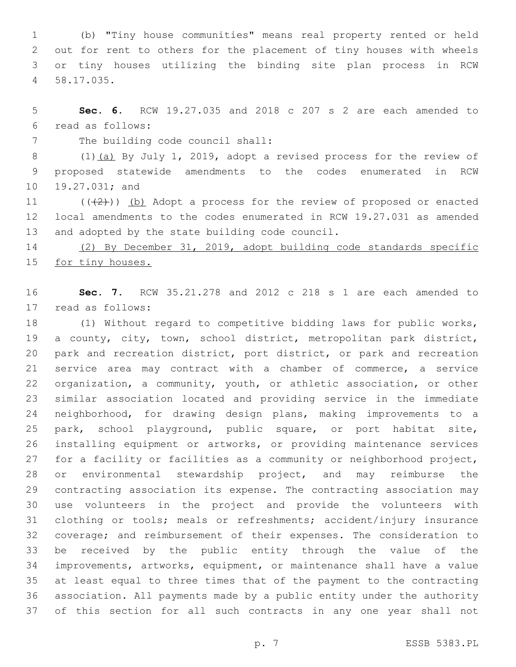(b) "Tiny house communities" means real property rented or held out for rent to others for the placement of tiny houses with wheels or tiny houses utilizing the binding site plan process in RCW 58.17.035.4

 **Sec. 6.** RCW 19.27.035 and 2018 c 207 s 2 are each amended to read as follows:6

7 The building code council shall:

 (1)(a) By July 1, 2019, adopt a revised process for the review of proposed statewide amendments to the codes enumerated in RCW 10 19.27.031; and

11  $((+2)^i)$  (b) Adopt a process for the review of proposed or enacted local amendments to the codes enumerated in RCW 19.27.031 as amended 13 and adopted by the state building code council.

 (2) By December 31, 2019, adopt building code standards specific 15 for tiny houses.

 **Sec. 7.** RCW 35.21.278 and 2012 c 218 s 1 are each amended to read as follows:17

 (1) Without regard to competitive bidding laws for public works, a county, city, town, school district, metropolitan park district, park and recreation district, port district, or park and recreation service area may contract with a chamber of commerce, a service organization, a community, youth, or athletic association, or other similar association located and providing service in the immediate neighborhood, for drawing design plans, making improvements to a park, school playground, public square, or port habitat site, installing equipment or artworks, or providing maintenance services for a facility or facilities as a community or neighborhood project, 28 or environmental stewardship project, and may reimburse the contracting association its expense. The contracting association may use volunteers in the project and provide the volunteers with clothing or tools; meals or refreshments; accident/injury insurance coverage; and reimbursement of their expenses. The consideration to be received by the public entity through the value of the improvements, artworks, equipment, or maintenance shall have a value at least equal to three times that of the payment to the contracting association. All payments made by a public entity under the authority of this section for all such contracts in any one year shall not